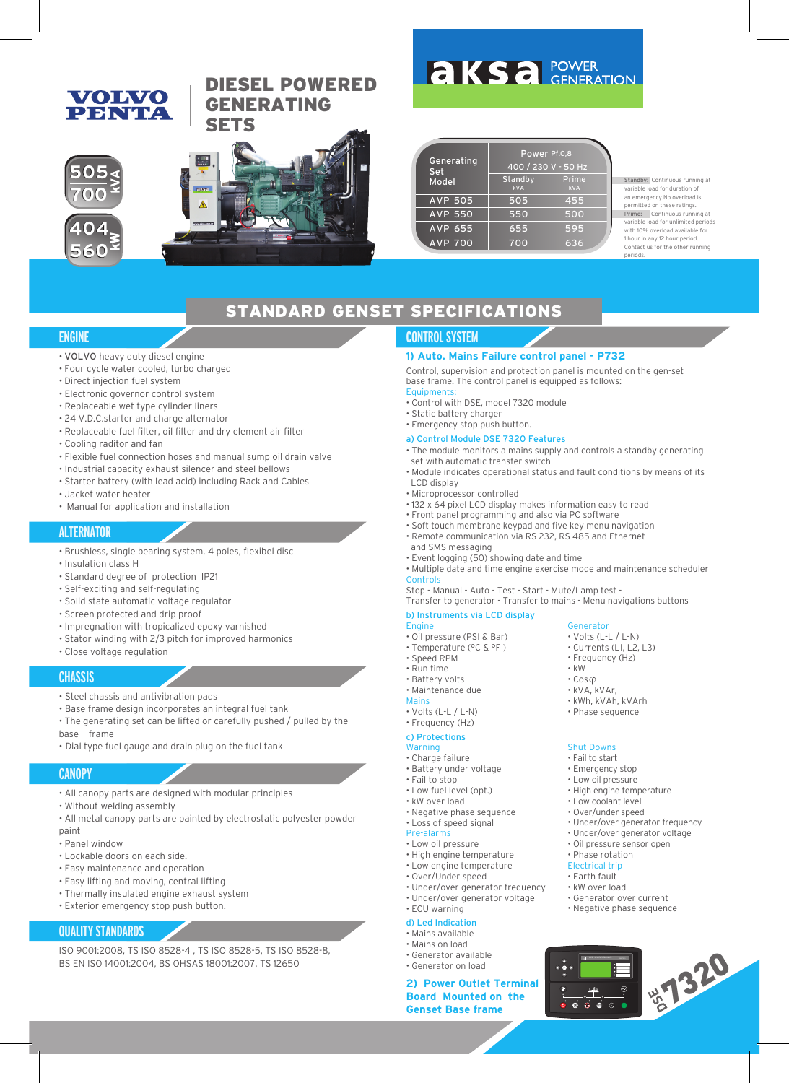### **VOLVO** PENTA

### DIESEL POWERED GENERATING **SETS**





## **AKSA** POWER

|                   | Power Pf.0,8          |                     |  |  |  |  |
|-------------------|-----------------------|---------------------|--|--|--|--|
| Generating<br>Set | 400 / 230 V - 50 Hz   |                     |  |  |  |  |
| Model             | Standby<br><b>kVA</b> | Prime<br><b>kVA</b> |  |  |  |  |
| <b>AVP 505</b>    | 505                   | 455                 |  |  |  |  |
| <b>AVP 550</b>    | 550                   | 500                 |  |  |  |  |
| AVP 655           | 655                   | 595                 |  |  |  |  |
| <b>AVP 700</b>    | 700                   | 636                 |  |  |  |  |

Standby: Continuous running at variable load for duration of an emergency.No overload is nitted on these ratings. Prime: Continuous running at variable load for unlimited periods with 10% overload available for 1 hour in any 12 hour period. Contact us for the other running periods.

### STANDARD GENSET SPECIFICATIONS

### **ENGINE**

- VOLVO heavy duty diesel engine
- Four cycle water cooled, turbo charged
- Direct injection fuel system
- Electronic governor control system
- Replaceable wet type cylinder liners
- 24 V.D.C.starter and charge alternator
- Replaceable fuel filter, oil filter and dry element air filter
- Cooling raditor and fan
- Flexible fuel connection hoses and manual sump oil drain valve
- Industrial capacity exhaust silencer and steel bellows
- Starter battery (with lead acid) including Rack and Cables
- Jacket water heater
- Manual for application and installation

#### **ALTERNATOR**

- Brushless, single bearing system, 4 poles, flexibel disc
- Insulation class H
- Standard degree of protection IP21
- Self-exciting and self-regulating
- Solid state automatic voltage regulator
- Screen protected and drip proof
- Impregnation with tropicalized epoxy varnished
- Stator winding with 2/3 pitch for improved harmonics
- Close voltage regulation

#### **CHASSIS**

- Steel chassis and antivibration pads
- Base frame design incorporates an integral fuel tank
- The generating set can be lifted or carefully pushed / pulled by the base frame
- Dial type fuel gauge and drain plug on the fuel tank

#### **CANOPY**

- All canopy parts are designed with modular principles
- Without welding assembly
- All metal canopy parts are painted by electrostatic polyester powder paint
- Panel window
- Lockable doors on each side.
- Easy maintenance and operation
- Easy lifting and moving, central lifting
- Thermally insulated engine exhaust system
- Exterior emergency stop push button.

#### **QUALITY STANDARDS**

ISO 9001:2008, TS ISO 8528-4 , TS ISO 8528-5, TS ISO 8528-8, BS EN ISO 14001:2004, BS OHSAS 18001:2007, TS 12650

### **CONTROL SYSTEM**

#### **1) Auto. Mains Failure control panel - P732**

Control, supervision and protection panel is mounted on the gen-set base frame. The control panel is equipped as follows: Equipments:

- Control with DSE, model 7320 module
- Static battery charger
- Emergency stop push button.

#### a) Control Module DSE 7320 Features

- The module monitors a mains supply and controls a standby generating set with automatic transfer switch
- Module indicates operational status and fault conditions by means of its LCD display
- Microprocessor controlled
- 132 x 64 pixel LCD display makes information easy to read
- Front panel programming and also via PC software
- Soft touch membrane keypad and five key menu navigation • Remote communication via RS 232, RS 485 and Ethernet
- and SMS messaging
- Event logging (50) showing date and time
- Multiple date and time engine exercise mode and maintenance scheduler **Controls**
- Stop Manual Auto Test Start Mute/Lamp test -
- Transfer to generator Transfer to mains Menu navigations buttons

#### b) Instruments via LCD display **Engine**

- Oil pressure (PSI & Bar)
- Temperature (°C & °F )
- Speed RPM
- Run time
- Battery volts
- Maintenance due
- Mains
- Volts (L-L / L-N)
- Frequency (Hz)
- c) Protections

#### **Warning**

- Charge failure
- Battery under voltage
- Fail to stop
- Low fuel level (opt.)
- kW over load
- Negative phase sequence • Loss of speed signal
- Pre-alarms
- Low oil pressure
- High engine temperature
- Low engine temperature
- Over/Under speed
- Under/over generator frequency • Under/over generator voltage
- ECU warning
- d) Led Indication

#### • Mains available

- Mains on load
- Generator available • Generator on load
- 

## **2) Power Outlet Terminal Board Mounted on the Consect Base frame** 1999 **Consect Base frame** 1999 **Consect Base frame**

- Volts (L-L / L-N) • Currents (L1, L2, L3)
- Frequency (Hz)

Shut Downs • Fail to start • Emergency stop • Low oil pressure • High engine temperature • Low coolant level • Over/under speed

• Under/over generator frequency • Under/over generator voltage • Oil pressure sensor open • Phase rotation Electrical trip • Earth fault • kW over load

• Generator over current • Negative phase sequence

 $0$   $0$   $0$ 

DEEP SEA ELECTRONICS DSE 732

• kW • Cos • kVA, kVAr, • kWh, kVAh, kVArh • Phase sequence

Generator